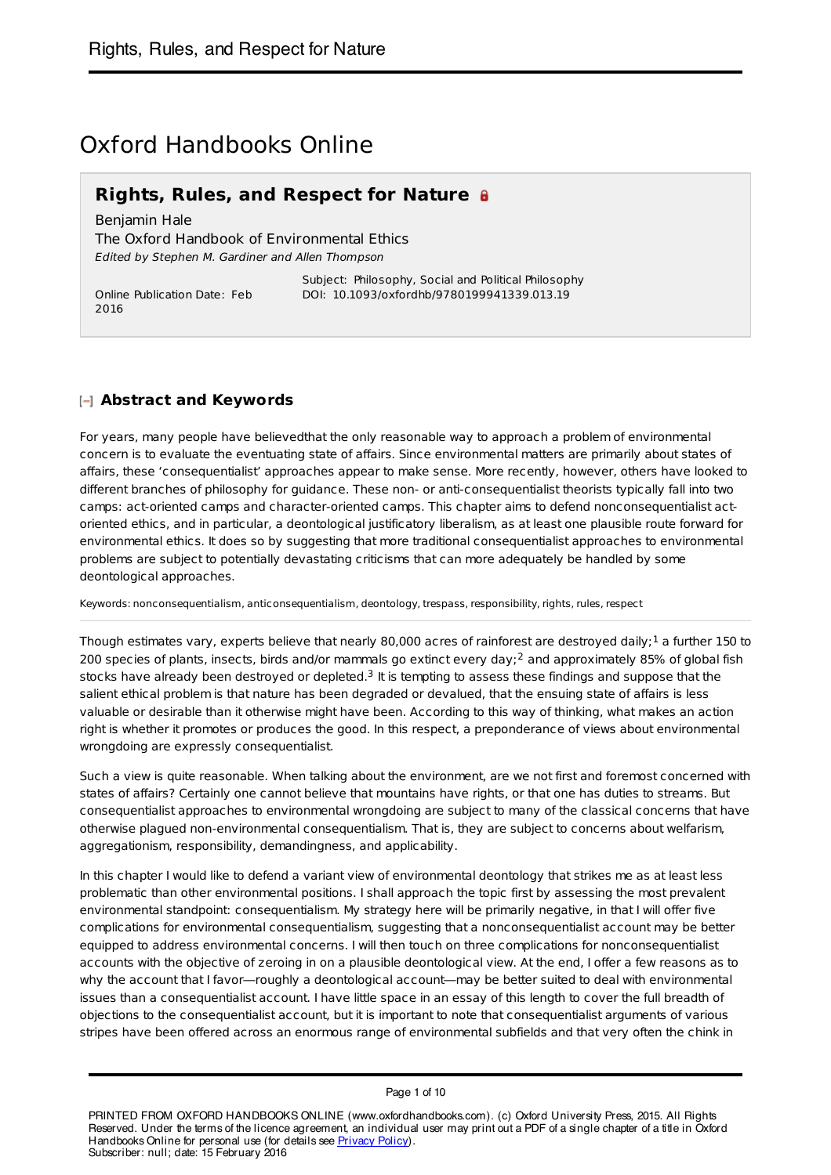# Oxford Handbooks Online

## **Rights, Rules, and Respect for Nature**

Benjamin Hale The Oxford Handbook of Environmental Ethics Edited by Stephen M. Gardiner and Allen Thompson

Online Publication Date: Feb 2016

Subject: Philosophy, Social and Political Philosophy DOI: 10.1093/oxfordhb/9780199941339.013.19

## **Abstract and Keywords**

For years, many people have believedthat the only reasonable way to approach a problem of environmental concern is to evaluate the eventuating state of affairs. Since environmental matters are primarily about states of affairs, these 'consequentialist' approaches appear to make sense. More recently, however, others have looked to different branches of philosophy for guidance. These non- or anti-consequentialist theorists typically fall into two camps: act-oriented camps and character-oriented camps. This chapter aims to defend nonconsequentialist actoriented ethics, and in particular, a deontological justificatory liberalism, as at least one plausible route forward for environmental ethics. It does so by suggesting that more traditional consequentialist approaches to environmental problems are subject to potentially devastating criticisms that can more adequately be handled by some deontological approaches.

Keywords: nonconsequentialism, anticonsequentialism, deontology, trespass, responsibility, rights, rules, respect

Though estimates vary, experts believe that nearly 80,000 acres of rainforest are destroyed daily;<sup>1</sup> a further 150 to 200 species of plants, insects, birds and/or mammals go extinct every day;<sup>2</sup> and approximately 85% of global fish stocks have already been destroyed or depleted.<sup>3</sup> It is tempting to assess these findings and suppose that the salient ethical problem is that nature has been degraded or devalued, that the ensuing state of affairs is less valuable or desirable than it otherwise might have been. According to this way of thinking, what makes an action right is whether it promotes or produces the good. In this respect, a preponderance of views about environmental wrongdoing are expressly consequentialist.

Such a view is quite reasonable. When talking about the environment, are we not first and foremost concerned with states of affairs? Certainly one cannot believe that mountains have rights, or that one has duties to streams. But consequentialist approaches to environmental wrongdoing are subject to many of the classical concerns that have otherwise plagued non-environmental consequentialism. That is, they are subject to concerns about welfarism, aggregationism, responsibility, demandingness, and applicability.

In this chapter I would like to defend a variant view of environmental deontology that strikes me as at least less problematic than other environmental positions. I shall approach the topic first by assessing the most prevalent environmental standpoint: consequentialism. My strategy here will be primarily negative, in that I will offer five complications for environmental consequentialism, suggesting that a nonconsequentialist account may be better equipped to address environmental concerns. I will then touch on three complications for nonconsequentialist accounts with the objective of zeroing in on a plausible deontological view. At the end, I offer a few reasons as to why the account that I favor—roughly a deontological account—may be better suited to deal with environmental issues than a consequentialist account. I have little space in an essay of this length to cover the full breadth of objections to the consequentialist account, but it is important to note that consequentialist arguments of various stripes have been offered across an enormous range of environmental subfields and that very often the chink in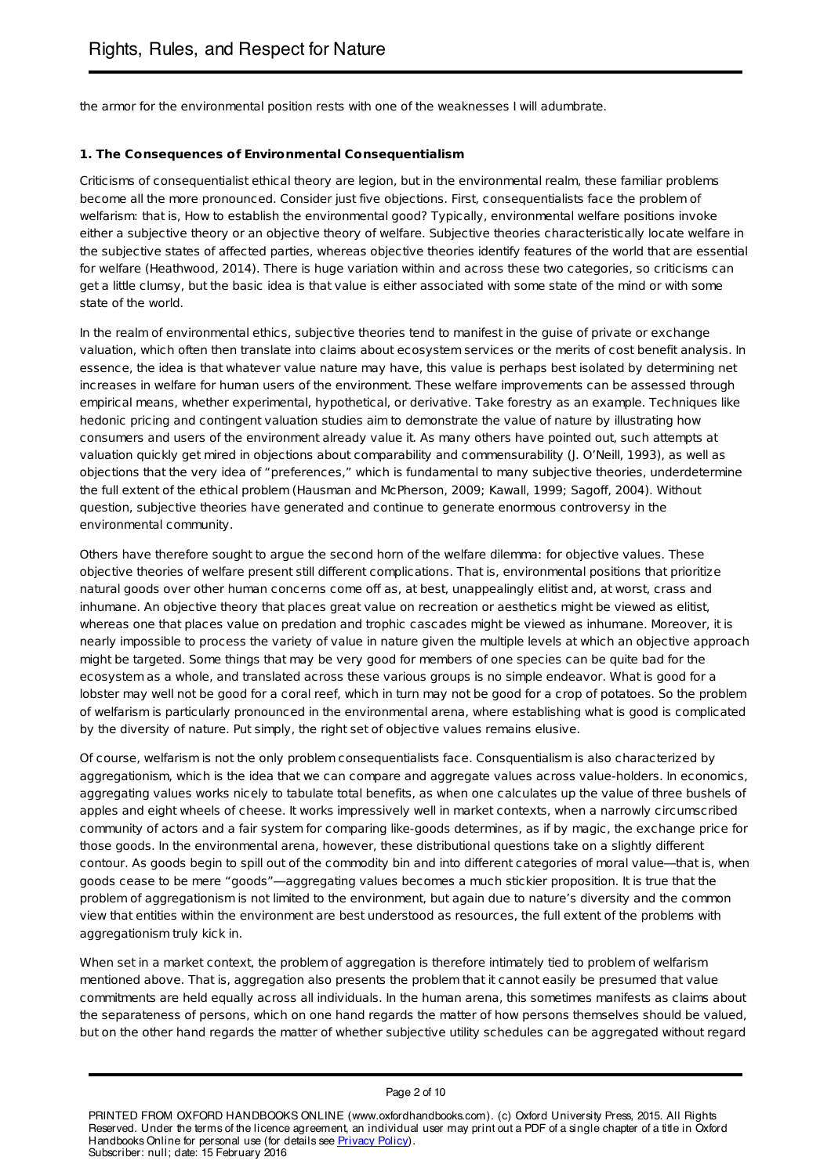the armor for the environmental position rests with one of the weaknesses I will adumbrate.

### **1. The Consequences of Environmental Consequentialism**

Criticisms of consequentialist ethical theory are legion, but in the environmental realm, these familiar problems become all the more pronounced. Consider just five objections. First, consequentialists face the problem of welfarism: that is, How to establish the environmental good? Typically, environmental welfare positions invoke either a subjective theory or an objective theory of welfare. Subjective theories characteristically locate welfare in the subjective states of affected parties, whereas objective theories identify features of the world that are essential for welfare (Heathwood, 2014). There is huge variation within and across these two categories, so criticisms can get a little clumsy, but the basic idea is that value is either associated with some state of the mind or with some state of the world.

In the realm of environmental ethics, subjective theories tend to manifest in the guise of private or exchange valuation, which often then translate into claims about ecosystem services or the merits of cost benefit analysis. In essence, the idea is that whatever value nature may have, this value is perhaps best isolated by determining net increases in welfare for human users of the environment. These welfare improvements can be assessed through empirical means, whether experimental, hypothetical, or derivative. Take forestry as an example. Techniques like hedonic pricing and contingent valuation studies aim to demonstrate the value of nature by illustrating how consumers and users of the environment already value it. As many others have pointed out, such attempts at valuation quickly get mired in objections about comparability and commensurability (J. O'Neill, 1993), as well as objections that the very idea of "preferences," which is fundamental to many subjective theories, underdetermine the full extent of the ethical problem (Hausman and McPherson, 2009; Kawall, 1999; Sagoff, 2004). Without question, subjective theories have generated and continue to generate enormous controversy in the environmental community.

Others have therefore sought to argue the second horn of the welfare dilemma: for objective values. These objective theories of welfare present still different complications. That is, environmental positions that prioritize natural goods over other human concerns come off as, at best, unappealingly elitist and, at worst, crass and inhumane. An objective theory that places great value on recreation or aesthetics might be viewed as elitist, whereas one that places value on predation and trophic cascades might be viewed as inhumane. Moreover, it is nearly impossible to process the variety of value in nature given the multiple levels at which an objective approach might be targeted. Some things that may be very good for members of one species can be quite bad for the ecosystem as a whole, and translated across these various groups is no simple endeavor. What is good for a lobster may well not be good for a coral reef, which in turn may not be good for a crop of potatoes. So the problem of welfarism is particularly pronounced in the environmental arena, where establishing what is good is complicated by the diversity of nature. Put simply, the right set of objective values remains elusive.

Of course, welfarism is not the only problem consequentialists face. Consquentialism is also characterized by aggregationism, which is the idea that we can compare and aggregate values across value-holders. In economics, aggregating values works nicely to tabulate total benefits, as when one calculates up the value of three bushels of apples and eight wheels of cheese. It works impressively well in market contexts, when a narrowly circumscribed community of actors and a fair system for comparing like-goods determines, as if by magic, the exchange price for those goods. In the environmental arena, however, these distributional questions take on a slightly different contour. As goods begin to spill out of the commodity bin and into different categories of moral value—that is, when goods cease to be mere "goods"—aggregating values becomes a much stickier proposition. It is true that the problem of aggregationism is not limited to the environment, but again due to nature's diversity and the common view that entities within the environment are best understood as resources, the full extent of the problems with aggregationism truly kick in.

When set in a market context, the problem of aggregation is therefore intimately tied to problem of welfarism mentioned above. That is, aggregation also presents the problem that it cannot easily be presumed that value commitments are held equally across all individuals. In the human arena, this sometimes manifests as claims about the separateness of persons, which on one hand regards the matter of how persons themselves should be valued, but on the other hand regards the matter of whether subjective utility schedules can be aggregated without regard

#### Page 2 of 10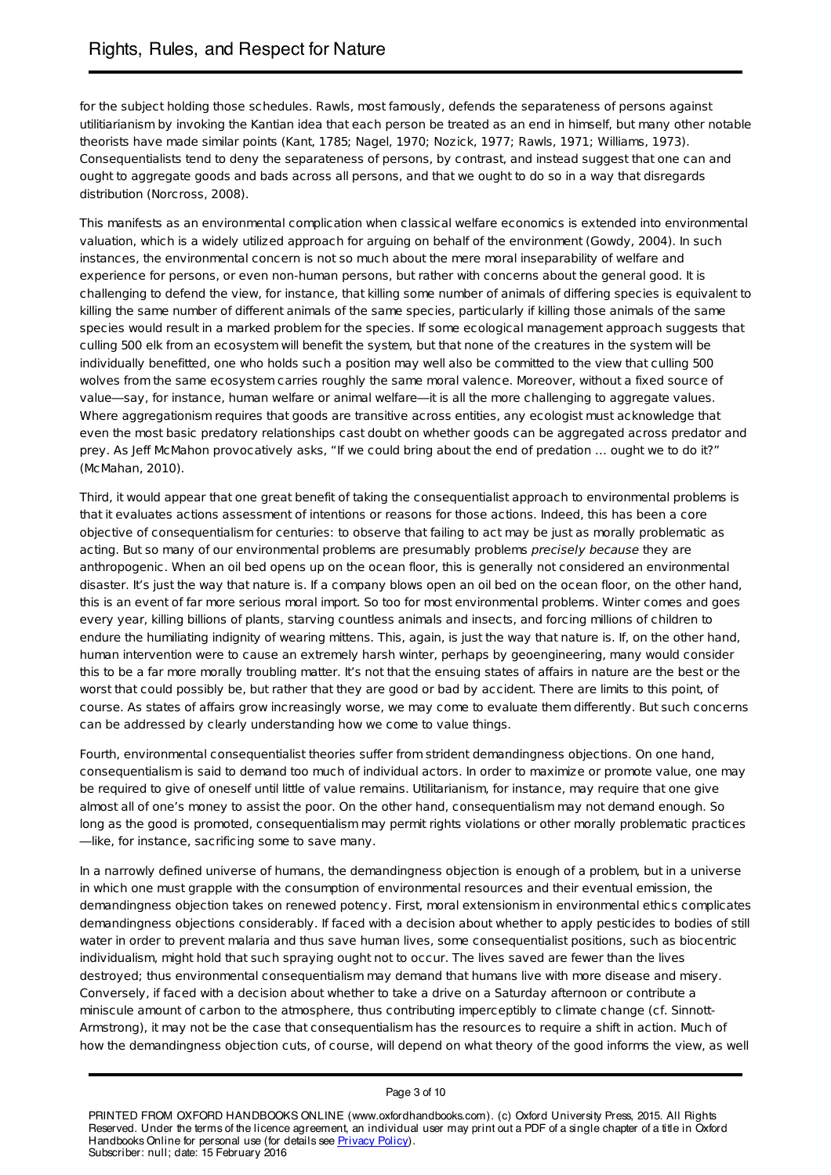for the subject holding those schedules. Rawls, most famously, defends the separateness of persons against utilitiarianism by invoking the Kantian idea that each person be treated as an end in himself, but many other notable theorists have made similar points (Kant, 1785; Nagel, 1970; Nozick, 1977; Rawls, 1971; Williams, 1973). Consequentialists tend to deny the separateness of persons, by contrast, and instead suggest that one can and ought to aggregate goods and bads across all persons, and that we ought to do so in a way that disregards distribution (Norcross, 2008).

This manifests as an environmental complication when classical welfare economics is extended into environmental valuation, which is a widely utilized approach for arguing on behalf of the environment (Gowdy, 2004). In such instances, the environmental concern is not so much about the mere moral inseparability of welfare and experience for persons, or even non-human persons, but rather with concerns about the general good. It is challenging to defend the view, for instance, that killing some number of animals of differing species is equivalent to killing the same number of different animals of the same species, particularly if killing those animals of the same species would result in a marked problem for the species. If some ecological management approach suggests that culling 500 elk from an ecosystem will benefit the system, but that none of the creatures in the system will be individually benefitted, one who holds such a position may well also be committed to the view that culling 500 wolves from the same ecosystem carries roughly the same moral valence. Moreover, without a fixed source of value—say, for instance, human welfare or animal welfare—it is all the more challenging to aggregate values. Where aggregationism requires that goods are transitive across entities, any ecologist must acknowledge that even the most basic predatory relationships cast doubt on whether goods can be aggregated across predator and prey. As Jeff McMahon provocatively asks, "If we could bring about the end of predation ... ought we to do it?" (McMahan, 2010).

Third, it would appear that one great benefit of taking the consequentialist approach to environmental problems is that it evaluates actions assessment of intentions or reasons for those actions. Indeed, this has been a core objective of consequentialism for centuries: to observe that failing to act may be just as morally problematic as acting. But so many of our environmental problems are presumably problems precisely because they are anthropogenic. When an oil bed opens up on the ocean floor, this is generally not considered an environmental disaster. It's just the way that nature is. If a company blows open an oil bed on the ocean floor, on the other hand, this is an event of far more serious moral import. So too for most environmental problems. Winter comes and goes every year, killing billions of plants, starving countless animals and insects, and forcing millions of children to endure the humiliating indignity of wearing mittens. This, again, is just the way that nature is. If, on the other hand, human intervention were to cause an extremely harsh winter, perhaps by geoengineering, many would consider this to be a far more morally troubling matter. It's not that the ensuing states of affairs in nature are the best or the worst that could possibly be, but rather that they are good or bad by accident. There are limits to this point, of course. As states of affairs grow increasingly worse, we may come to evaluate them differently. But such concerns can be addressed by clearly understanding how we come to value things.

Fourth, environmental consequentialist theories suffer from strident demandingness objections. On one hand, consequentialism is said to demand too much of individual actors. In order to maximize or promote value, one may be required to give of oneself until little of value remains. Utilitarianism, for instance, may require that one give almost all of one's money to assist the poor. On the other hand, consequentialism may not demand enough. So long as the good is promoted, consequentialism may permit rights violations or other morally problematic practices —like, for instance, sacrificing some to save many.

In a narrowly defined universe of humans, the demandingness objection is enough of a problem, but in a universe in which one must grapple with the consumption of environmental resources and their eventual emission, the demandingness objection takes on renewed potency. First, moral extensionism in environmental ethics complicates demandingness objections considerably. If faced with a decision about whether to apply pesticides to bodies of still water in order to prevent malaria and thus save human lives, some consequentialist positions, such as biocentric individualism, might hold that such spraying ought not to occur. The lives saved are fewer than the lives destroyed; thus environmental consequentialism may demand that humans live with more disease and misery. Conversely, if faced with a decision about whether to take a drive on a Saturday afternoon or contribute a miniscule amount of carbon to the atmosphere, thus contributing imperceptibly to climate change (cf. Sinnott-Armstrong), it may not be the case that consequentialism has the resources to require a shift in action. Much of how the demandingness objection cuts, of course, will depend on what theory of the good informs the view, as well

#### Page 3 of 10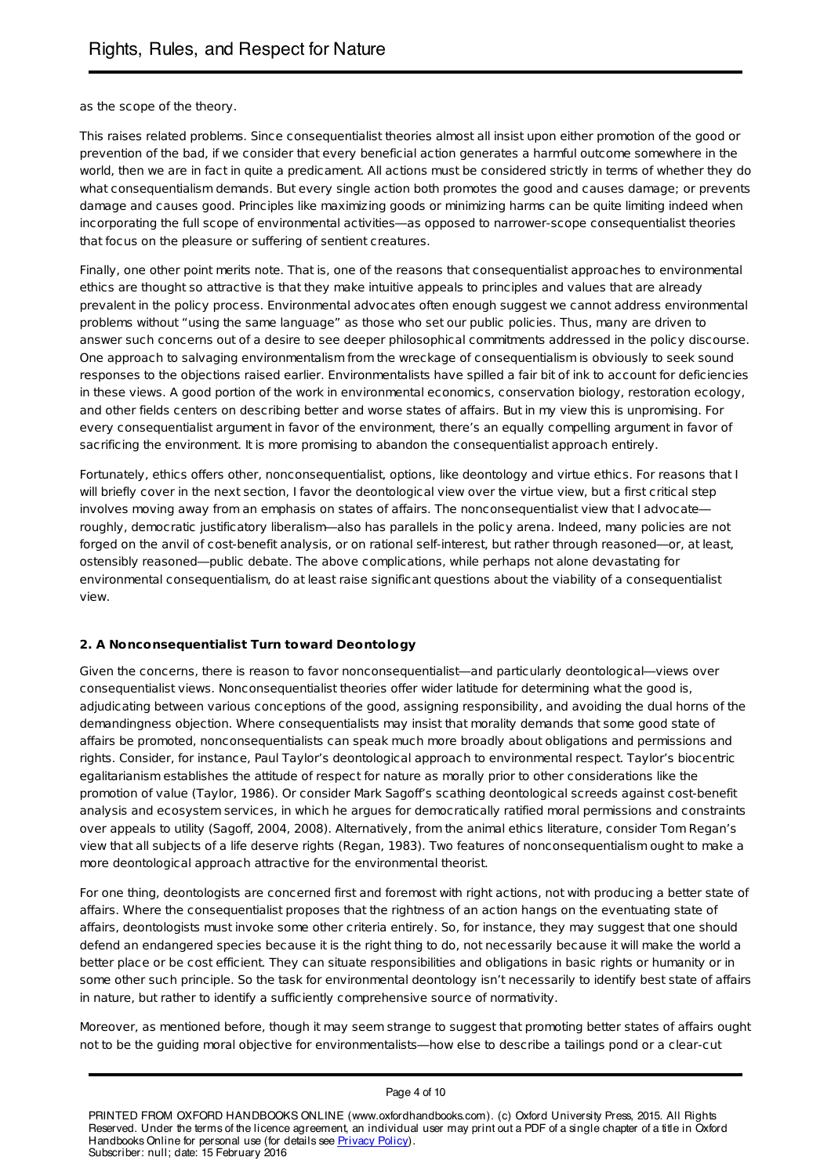as the scope of the theory.

This raises related problems. Since consequentialist theories almost all insist upon either promotion of the good or prevention of the bad, if we consider that every beneficial action generates a harmful outcome somewhere in the world, then we are in fact in quite a predicament. All actions must be considered strictly in terms of whether they do what consequentialism demands. But every single action both promotes the good and causes damage; or prevents damage and causes good. Principles like maximizing goods or minimizing harms can be quite limiting indeed when incorporating the full scope of environmental activities—as opposed to narrower-scope consequentialist theories that focus on the pleasure or suffering of sentient creatures.

Finally, one other point merits note. That is, one of the reasons that consequentialist approaches to environmental ethics are thought so attractive is that they make intuitive appeals to principles and values that are already prevalent in the policy process. Environmental advocates often enough suggest we cannot address environmental problems without "using the same language" as those who set our public policies. Thus, many are driven to answer such concerns out of a desire to see deeper philosophical commitments addressed in the policy discourse. One approach to salvaging environmentalism from the wreckage of consequentialism is obviously to seek sound responses to the objections raised earlier. Environmentalists have spilled a fair bit of ink to account for deficiencies in these views. A good portion of the work in environmental economics, conservation biology, restoration ecology, and other fields centers on describing better and worse states of affairs. But in my view this is unpromising. For every consequentialist argument in favor of the environment, there's an equally compelling argument in favor of sacrificing the environment. It is more promising to abandon the consequentialist approach entirely.

Fortunately, ethics offers other, nonconsequentialist, options, like deontology and virtue ethics. For reasons that I will briefly cover in the next section, I favor the deontological view over the virtue view, but a first critical step involves moving away from an emphasis on states of affairs. The nonconsequentialist view that I advocate roughly, democratic justificatory liberalism—also has parallels in the policy arena. Indeed, many policies are not forged on the anvil of cost-benefit analysis, or on rational self-interest, but rather through reasoned—or, at least, ostensibly reasoned—public debate. The above complications, while perhaps not alone devastating for environmental consequentialism, do at least raise significant questions about the viability of a consequentialist view.

## **2. A Nonconsequentialist Turn toward Deontology**

Given the concerns, there is reason to favor nonconsequentialist—and particularly deontological—views over consequentialist views. Nonconsequentialist theories offer wider latitude for determining what the good is, adjudicating between various conceptions of the good, assigning responsibility, and avoiding the dual horns of the demandingness objection. Where consequentialists may insist that morality demands that some good state of affairs be promoted, nonconsequentialists can speak much more broadly about obligations and permissions and rights. Consider, for instance, Paul Taylor's deontological approach to environmental respect. Taylor's biocentric egalitarianism establishes the attitude of respect for nature as morally prior to other considerations like the promotion of value (Taylor, 1986). Or consider Mark Sagoff's scathing deontological screeds against cost-benefit analysis and ecosystem services, in which he argues for democratically ratified moral permissions and constraints over appeals to utility (Sagoff, 2004, 2008). Alternatively, from the animal ethics literature, consider Tom Regan's view that all subjects of a life deserve rights (Regan, 1983). Two features of nonconsequentialism ought to make a more deontological approach attractive for the environmental theorist.

For one thing, deontologists are concerned first and foremost with right actions, not with producing a better state of affairs. Where the consequentialist proposes that the rightness of an action hangs on the eventuating state of affairs, deontologists must invoke some other criteria entirely. So, for instance, they may suggest that one should defend an endangered species because it is the right thing to do, not necessarily because it will make the world a better place or be cost efficient. They can situate responsibilities and obligations in basic rights or humanity or in some other such principle. So the task for environmental deontology isn't necessarily to identify best state of affairs in nature, but rather to identify a sufficiently comprehensive source of normativity.

Moreover, as mentioned before, though it may seem strange to suggest that promoting better states of affairs ought not to be the guiding moral objective for environmentalists—how else to describe a tailings pond or a clear-cut

#### Page 4 of 10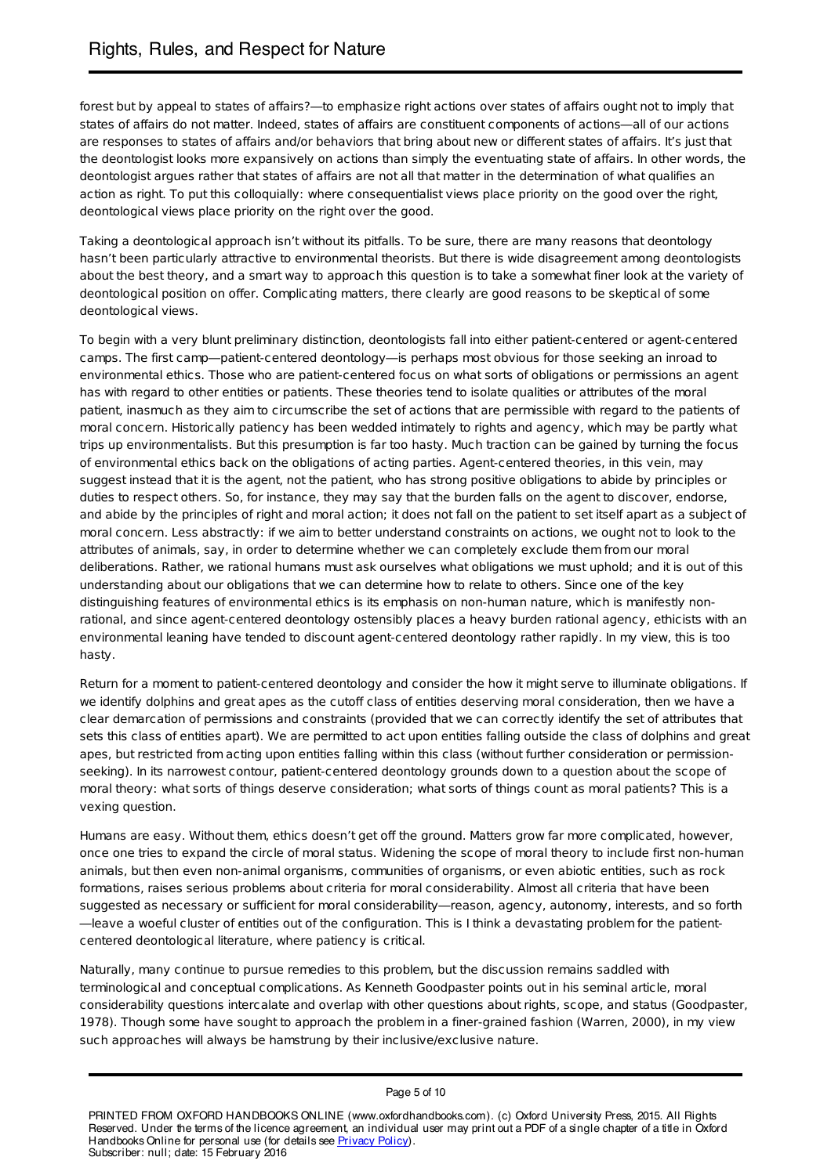forest but by appeal to states of affairs?—to emphasize right actions over states of affairs ought not to imply that states of affairs do not matter. Indeed, states of affairs are constituent components of actions—all of our actions are responses to states of affairs and/or behaviors that bring about new or different states of affairs. It's just that the deontologist looks more expansively on actions than simply the eventuating state of affairs. In other words, the deontologist argues rather that states of affairs are not all that matter in the determination of what qualifies an action as right. To put this colloquially: where consequentialist views place priority on the good over the right, deontological views place priority on the right over the good.

Taking a deontological approach isn't without its pitfalls. To be sure, there are many reasons that deontology hasn't been particularly attractive to environmental theorists. But there is wide disagreement among deontologists about the best theory, and a smart way to approach this question is to take a somewhat finer look at the variety of deontological position on offer. Complicating matters, there clearly are good reasons to be skeptical of some deontological views.

To begin with a very blunt preliminary distinction, deontologists fall into either patient-centered or agent-centered camps. The first camp—patient-centered deontology—is perhaps most obvious for those seeking an inroad to environmental ethics. Those who are patient-centered focus on what sorts of obligations or permissions an agent has with regard to other entities or patients. These theories tend to isolate qualities or attributes of the moral patient, inasmuch as they aim to circumscribe the set of actions that are permissible with regard to the patients of moral concern. Historically patiency has been wedded intimately to rights and agency, which may be partly what trips up environmentalists. But this presumption is far too hasty. Much traction can be gained by turning the focus of environmental ethics back on the obligations of acting parties. Agent-centered theories, in this vein, may suggest instead that it is the agent, not the patient, who has strong positive obligations to abide by principles or duties to respect others. So, for instance, they may say that the burden falls on the agent to discover, endorse, and abide by the principles of right and moral action; it does not fall on the patient to set itself apart as a subject of moral concern. Less abstractly: if we aim to better understand constraints on actions, we ought not to look to the attributes of animals, say, in order to determine whether we can completely exclude them from our moral deliberations. Rather, we rational humans must ask ourselves what obligations we must uphold; and it is out of this understanding about our obligations that we can determine how to relate to others. Since one of the key distinguishing features of environmental ethics is its emphasis on non-human nature, which is manifestly nonrational, and since agent-centered deontology ostensibly places a heavy burden rational agency, ethicists with an environmental leaning have tended to discount agent-centered deontology rather rapidly. In my view, this is too hasty.

Return for a moment to patient-centered deontology and consider the how it might serve to illuminate obligations. If we identify dolphins and great apes as the cutoff class of entities deserving moral consideration, then we have a clear demarcation of permissions and constraints (provided that we can correctly identify the set of attributes that sets this class of entities apart). We are permitted to act upon entities falling outside the class of dolphins and great apes, but restricted from acting upon entities falling within this class (without further consideration or permissionseeking). In its narrowest contour, patient-centered deontology grounds down to a question about the scope of moral theory: what sorts of things deserve consideration; what sorts of things count as moral patients? This is a vexing question.

Humans are easy. Without them, ethics doesn't get off the ground. Matters grow far more complicated, however, once one tries to expand the circle of moral status. Widening the scope of moral theory to include first non-human animals, but then even non-animal organisms, communities of organisms, or even abiotic entities, such as rock formations, raises serious problems about criteria for moral considerability. Almost all criteria that have been suggested as necessary or sufficient for moral considerability—reason, agency, autonomy, interests, and so forth —leave a woeful cluster of entities out of the configuration. This is I think a devastating problem for the patientcentered deontological literature, where patiency is critical.

Naturally, many continue to pursue remedies to this problem, but the discussion remains saddled with terminological and conceptual complications. As Kenneth Goodpaster points out in his seminal article, moral considerability questions intercalate and overlap with other questions about rights, scope, and status (Goodpaster, 1978). Though some have sought to approach the problem in a finer-grained fashion (Warren, 2000), in my view such approaches will always be hamstrung by their inclusive/exclusive nature.

#### Page 5 of 10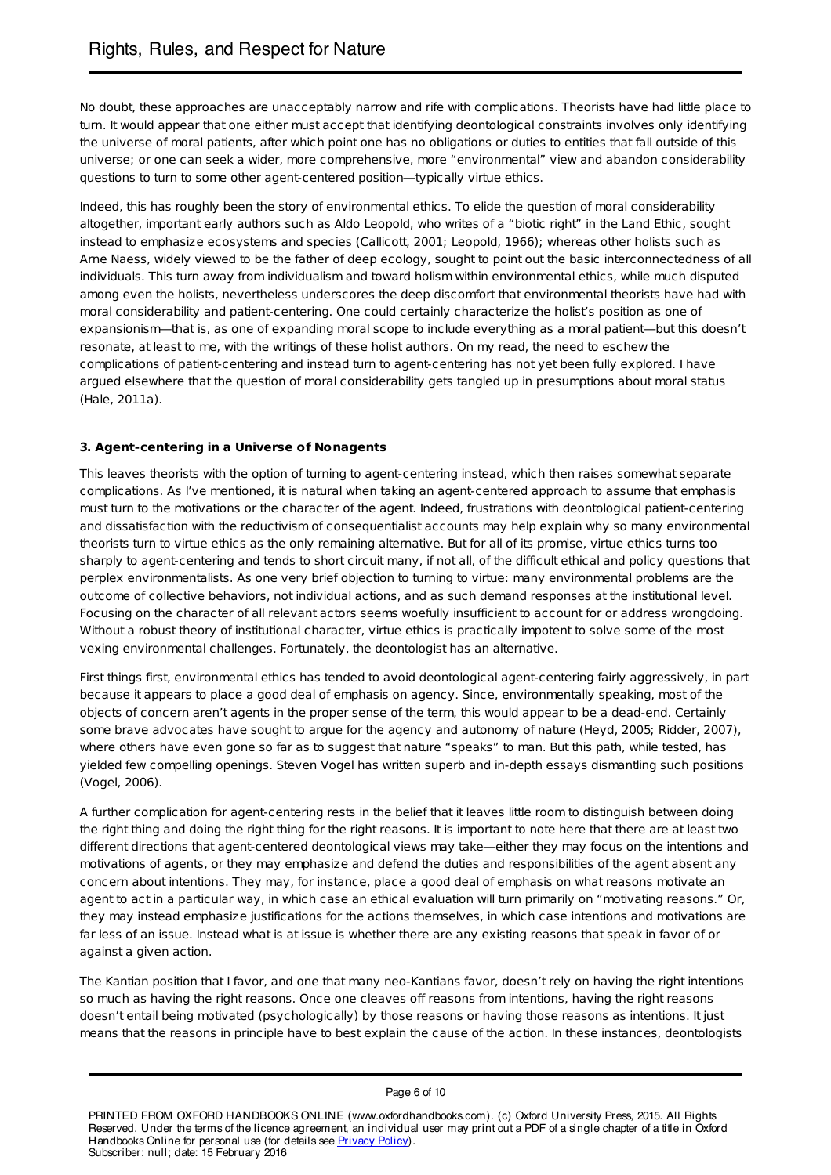No doubt, these approaches are unacceptably narrow and rife with complications. Theorists have had little place to turn. It would appear that one either must accept that identifying deontological constraints involves only identifying the universe of moral patients, after which point one has no obligations or duties to entities that fall outside of this universe; or one can seek a wider, more comprehensive, more "environmental" view and abandon considerability questions to turn to some other agent-centered position—typically virtue ethics.

Indeed, this has roughly been the story of environmental ethics. To elide the question of moral considerability altogether, important early authors such as Aldo Leopold, who writes of a "biotic right" in the Land Ethic, sought instead to emphasize ecosystems and species (Callicott, 2001; Leopold, 1966); whereas other holists such as Arne Naess, widely viewed to be the father of deep ecology, sought to point out the basic interconnectedness of all individuals. This turn away from individualism and toward holism within environmental ethics, while much disputed among even the holists, nevertheless underscores the deep discomfort that environmental theorists have had with moral considerability and patient-centering. One could certainly characterize the holist's position as one of expansionism—that is, as one of expanding moral scope to include everything as a moral patient—but this doesn't resonate, at least to me, with the writings of these holist authors. On my read, the need to eschew the complications of patient-centering and instead turn to agent-centering has not yet been fully explored. I have argued elsewhere that the question of moral considerability gets tangled up in presumptions about moral status (Hale, 2011a).

## **3. Agent-centering in a Universe of Nonagents**

This leaves theorists with the option of turning to agent-centering instead, which then raises somewhat separate complications. As I've mentioned, it is natural when taking an agent-centered approach to assume that emphasis must turn to the motivations or the character of the agent. Indeed, frustrations with deontological patient-centering and dissatisfaction with the reductivism of consequentialist accounts may help explain why so many environmental theorists turn to virtue ethics as the only remaining alternative. But for all of its promise, virtue ethics turns too sharply to agent-centering and tends to short circuit many, if not all, of the difficult ethical and policy questions that perplex environmentalists. As one very brief objection to turning to virtue: many environmental problems are the outcome of collective behaviors, not individual actions, and as such demand responses at the institutional level. Focusing on the character of all relevant actors seems woefully insufficient to account for or address wrongdoing. Without a robust theory of institutional character, virtue ethics is practically impotent to solve some of the most vexing environmental challenges. Fortunately, the deontologist has an alternative.

First things first, environmental ethics has tended to avoid deontological agent-centering fairly aggressively, in part because it appears to place a good deal of emphasis on agency. Since, environmentally speaking, most of the objects of concern aren't agents in the proper sense of the term, this would appear to be a dead-end. Certainly some brave advocates have sought to argue for the agency and autonomy of nature (Heyd, 2005; Ridder, 2007), where others have even gone so far as to suggest that nature "speaks" to man. But this path, while tested, has yielded few compelling openings. Steven Vogel has written superb and in-depth essays dismantling such positions (Vogel, 2006).

A further complication for agent-centering rests in the belief that it leaves little room to distinguish between doing the right thing and doing the right thing for the right reasons. It is important to note here that there are at least two different directions that agent-centered deontological views may take—either they may focus on the intentions and motivations of agents, or they may emphasize and defend the duties and responsibilities of the agent absent any concern about intentions. They may, for instance, place a good deal of emphasis on what reasons motivate an agent to act in a particular way, in which case an ethical evaluation will turn primarily on "motivating reasons." Or, they may instead emphasize justifications for the actions themselves, in which case intentions and motivations are far less of an issue. Instead what is at issue is whether there are any existing reasons that speak in favor of or against a given action.

The Kantian position that I favor, and one that many neo-Kantians favor, doesn't rely on having the right intentions so much as having the right reasons. Once one cleaves off reasons from intentions, having the right reasons doesn't entail being motivated (psychologically) by those reasons or having those reasons as intentions. It just means that the reasons in principle have to best explain the cause of the action. In these instances, deontologists

#### Page 6 of 10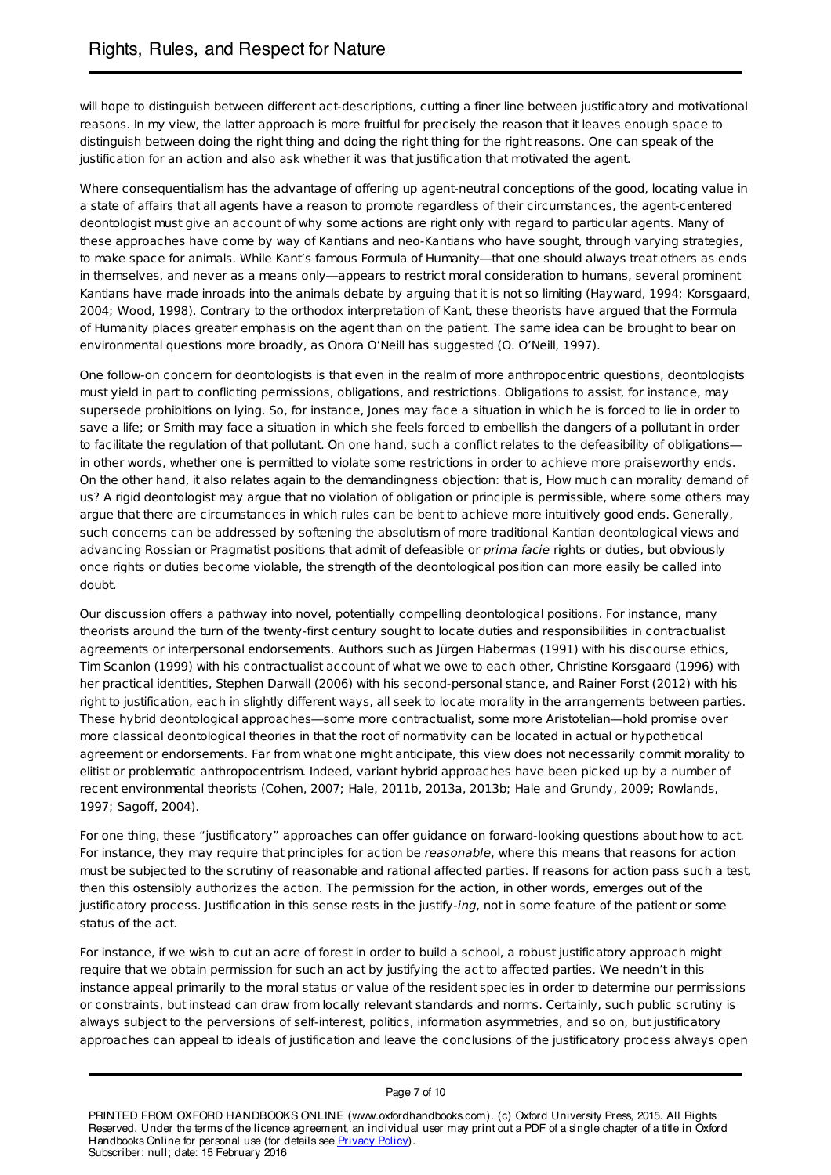will hope to distinguish between different act-descriptions, cutting a finer line between justificatory and motivational reasons. In my view, the latter approach is more fruitful for precisely the reason that it leaves enough space to distinguish between doing the right thing and doing the right thing for the right reasons. One can speak of the justification for an action and also ask whether it was that justification that motivated the agent.

Where consequentialism has the advantage of offering up agent-neutral conceptions of the good, locating value in a state of affairs that all agents have a reason to promote regardless of their circumstances, the agent-centered deontologist must give an account of why some actions are right only with regard to particular agents. Many of these approaches have come by way of Kantians and neo-Kantians who have sought, through varying strategies, to make space for animals. While Kant's famous Formula of Humanity—that one should always treat others as ends in themselves, and never as a means only—appears to restrict moral consideration to humans, several prominent Kantians have made inroads into the animals debate by arguing that it is not so limiting (Hayward, 1994; Korsgaard, 2004; Wood, 1998). Contrary to the orthodox interpretation of Kant, these theorists have argued that the Formula of Humanity places greater emphasis on the agent than on the patient. The same idea can be brought to bear on environmental questions more broadly, as Onora O'Neill has suggested (O. O'Neill, 1997).

One follow-on concern for deontologists is that even in the realm of more anthropocentric questions, deontologists must yield in part to conflicting permissions, obligations, and restrictions. Obligations to assist, for instance, may supersede prohibitions on lying. So, for instance, Jones may face a situation in which he is forced to lie in order to save a life; or Smith may face a situation in which she feels forced to embellish the dangers of a pollutant in order to facilitate the regulation of that pollutant. On one hand, such a conflict relates to the defeasibility of obligations in other words, whether one is permitted to violate some restrictions in order to achieve more praiseworthy ends. On the other hand, it also relates again to the demandingness objection: that is, How much can morality demand of us? A rigid deontologist may argue that no violation of obligation or principle is permissible, where some others may argue that there are circumstances in which rules can be bent to achieve more intuitively good ends. Generally, such concerns can be addressed by softening the absolutism of more traditional Kantian deontological views and advancing Rossian or Pragmatist positions that admit of defeasible or prima facie rights or duties, but obviously once rights or duties become violable, the strength of the deontological position can more easily be called into doubt.

Our discussion offers a pathway into novel, potentially compelling deontological positions. For instance, many theorists around the turn of the twenty-first century sought to locate duties and responsibilities in contractualist agreements or interpersonal endorsements. Authors such as Jürgen Habermas (1991) with his discourse ethics, Tim Scanlon (1999) with his contractualist account of what we owe to each other, Christine Korsgaard (1996) with her practical identities, Stephen Darwall (2006) with his second-personal stance, and Rainer Forst (2012) with his right to justification, each in slightly different ways, all seek to locate morality in the arrangements between parties. These hybrid deontological approaches—some more contractualist, some more Aristotelian—hold promise over more classical deontological theories in that the root of normativity can be located in actual or hypothetical agreement or endorsements. Far from what one might anticipate, this view does not necessarily commit morality to elitist or problematic anthropocentrism. Indeed, variant hybrid approaches have been picked up by a number of recent environmental theorists (Cohen, 2007; Hale, 2011b, 2013a, 2013b; Hale and Grundy, 2009; Rowlands, 1997; Sagoff, 2004).

For one thing, these "justificatory" approaches can offer guidance on forward-looking questions about how to act. For instance, they may require that principles for action be reasonable, where this means that reasons for action must be subjected to the scrutiny of reasonable and rational affected parties. If reasons for action pass such a test, then this ostensibly authorizes the action. The permission for the action, in other words, emerges out of the justificatory process. Justification in this sense rests in the justify-ing, not in some feature of the patient or some status of the act.

For instance, if we wish to cut an acre of forest in order to build a school, a robust justificatory approach might require that we obtain permission for such an act by justifying the act to affected parties. We needn't in this instance appeal primarily to the moral status or value of the resident species in order to determine our permissions or constraints, but instead can draw from locally relevant standards and norms. Certainly, such public scrutiny is always subject to the perversions of self-interest, politics, information asymmetries, and so on, but justificatory approaches can appeal to ideals of justification and leave the conclusions of the justificatory process always open

#### Page 7 of 10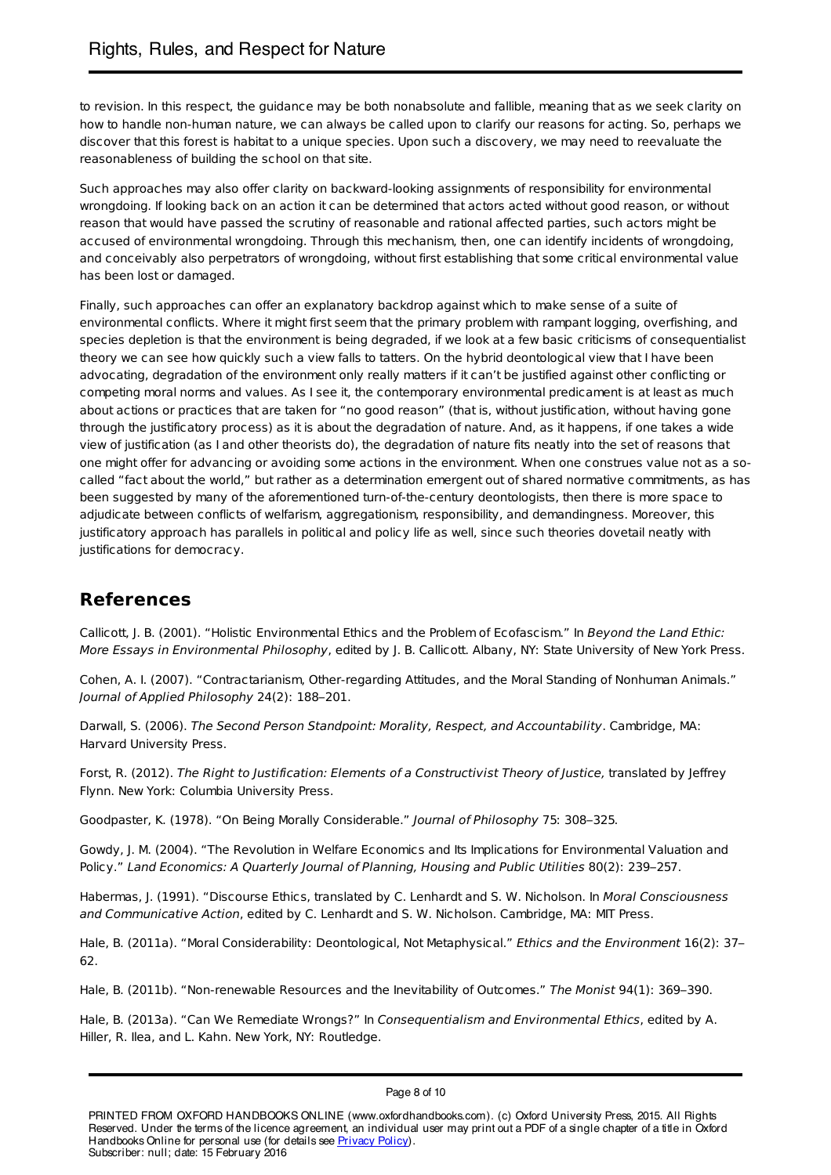to revision. In this respect, the guidance may be both nonabsolute and fallible, meaning that as we seek clarity on how to handle non-human nature, we can always be called upon to clarify our reasons for acting. So, perhaps we discover that this forest is habitat to a unique species. Upon such a discovery, we may need to reevaluate the reasonableness of building the school on that site.

Such approaches may also offer clarity on backward-looking assignments of responsibility for environmental wrongdoing. If looking back on an action it can be determined that actors acted without good reason, or without reason that would have passed the scrutiny of reasonable and rational affected parties, such actors might be accused of environmental wrongdoing. Through this mechanism, then, one can identify incidents of wrongdoing, and conceivably also perpetrators of wrongdoing, without first establishing that some critical environmental value has been lost or damaged.

Finally, such approaches can offer an explanatory backdrop against which to make sense of a suite of environmental conflicts. Where it might first seem that the primary problem with rampant logging, overfishing, and species depletion is that the environment is being degraded, if we look at a few basic criticisms of consequentialist theory we can see how quickly such a view falls to tatters. On the hybrid deontological view that I have been advocating, degradation of the environment only really matters if it can't be justified against other conflicting or competing moral norms and values. As I see it, the contemporary environmental predicament is at least as much about actions or practices that are taken for "no good reason" (that is, without justification, without having gone through the justificatory process) as it is about the degradation of nature. And, as it happens, if one takes a wide view of justification (as I and other theorists do), the degradation of nature fits neatly into the set of reasons that one might offer for advancing or avoiding some actions in the environment. When one construes value not as a socalled "fact about the world," but rather as a determination emergent out of shared normative commitments, as has been suggested by many of the aforementioned turn-of-the-century deontologists, then there is more space to adjudicate between conflicts of welfarism, aggregationism, responsibility, and demandingness. Moreover, this justificatory approach has parallels in political and policy life as well, since such theories dovetail neatly with justifications for democracy.

## **References**

Callicott, J. B. (2001). "Holistic Environmental Ethics and the Problem of Ecofascism." In Beyond the Land Ethic: More Essays in Environmental Philosophy, edited by J. B. Callicott. Albany, NY: State University of New York Press.

Cohen, A. I. (2007). "Contractarianism, Other-regarding Attitudes, and the Moral Standing of Nonhuman Animals." Journal of Applied Philosophy 24(2): 188–201.

Darwall, S. (2006). The Second Person Standpoint: Morality, Respect, and Accountability. Cambridge, MA: Harvard University Press.

Forst, R. (2012). The Right to Justification: Elements of a Constructivist Theory of Justice, translated by Jeffrey Flynn. New York: Columbia University Press.

Goodpaster, K. (1978). "On Being Morally Considerable." Journal of Philosophy 75: 308–325.

Gowdy, J. M. (2004). "The Revolution in Welfare Economics and Its Implications for Environmental Valuation and Policy." Land Economics: A Quarterly Journal of Planning, Housing and Public Utilities 80(2): 239–257.

Habermas, J. (1991). "Discourse Ethics, translated by C. Lenhardt and S. W. Nicholson. In Moral Consciousness and Communicative Action, edited by C. Lenhardt and S. W. Nicholson. Cambridge, MA: MIT Press.

Hale, B. (2011a). "Moral Considerability: Deontological, Not Metaphysical." Ethics and the Environment 16(2): 37– 62.

Hale, B. (2011b). "Non-renewable Resources and the Inevitability of Outcomes." The Monist 94(1): 369–390.

Hale, B. (2013a). "Can We Remediate Wrongs?" In Consequentialism and Environmental Ethics, edited by A. Hiller, R. Ilea, and L. Kahn. New York, NY: Routledge.

Page 8 of 10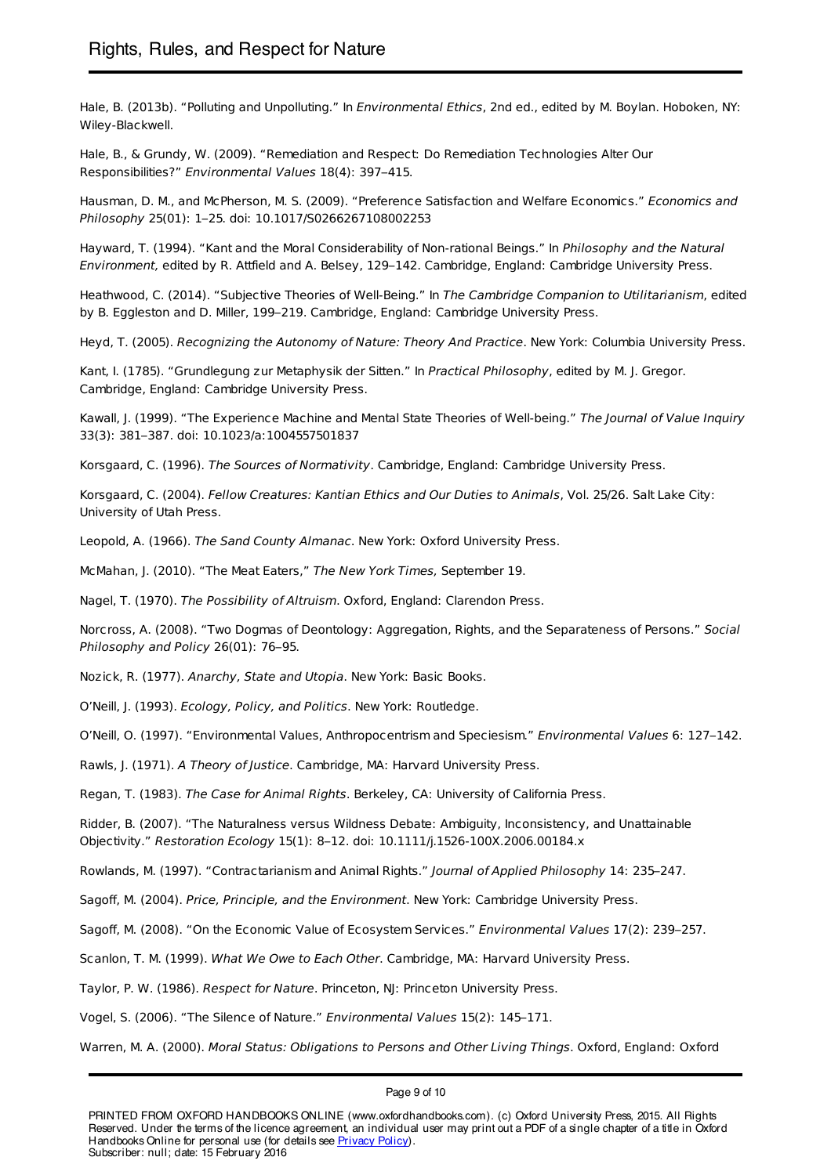Hale, B. (2013b). "Polluting and Unpolluting." In Environmental Ethics, 2nd ed., edited by M. Boylan. Hoboken, NY: Wiley-Blackwell.

Hale, B., & Grundy, W. (2009). "Remediation and Respect: Do Remediation Technologies Alter Our Responsibilities?" Environmental Values 18(4): 397–415.

Hausman, D. M., and McPherson, M. S. (2009). "Preference Satisfaction and Welfare Economics." Economics and Philosophy 25(01): 1–25. doi: 10.1017/S0266267108002253

Hayward, T. (1994). "Kant and the Moral Considerability of Non-rational Beings." In Philosophy and the Natural Environment, edited by R. Attfield and A. Belsey, 129–142. Cambridge, England: Cambridge University Press.

Heathwood, C. (2014). "Subjective Theories of Well-Being." In The Cambridge Companion to Utilitarianism, edited by B. Eggleston and D. Miller, 199–219. Cambridge, England: Cambridge University Press.

Heyd, T. (2005). Recognizing the Autonomy of Nature: Theory And Practice. New York: Columbia University Press.

Kant, I. (1785). "Grundlegung zur Metaphysik der Sitten." In Practical Philosophy, edited by M. J. Gregor. Cambridge, England: Cambridge University Press.

Kawall, J. (1999). "The Experience Machine and Mental State Theories of Well-being." The Journal of Value Inquiry 33(3): 381–387. doi: 10.1023/a:1004557501837

Korsgaard, C. (1996). The Sources of Normativity. Cambridge, England: Cambridge University Press.

Korsgaard, C. (2004). Fellow Creatures: Kantian Ethics and Our Duties to Animals, Vol. 25/26. Salt Lake City: University of Utah Press.

Leopold, A. (1966). The Sand County Almanac. New York: Oxford University Press.

McMahan, J. (2010). "The Meat Eaters," The New York Times, September 19.

Nagel, T. (1970). The Possibility of Altruism. Oxford, England: Clarendon Press.

Norcross, A. (2008). "Two Dogmas of Deontology: Aggregation, Rights, and the Separateness of Persons." Social Philosophy and Policy 26(01): 76–95.

Nozick, R. (1977). Anarchy, State and Utopia. New York: Basic Books.

O'Neill, J. (1993). Ecology, Policy, and Politics. New York: Routledge.

O'Neill, O. (1997). "Environmental Values, Anthropocentrism and Speciesism." Environmental Values 6: 127–142.

Rawls, J. (1971). A Theory of Justice. Cambridge, MA: Harvard University Press.

Regan, T. (1983). The Case for Animal Rights. Berkeley, CA: University of California Press.

Ridder, B. (2007). "The Naturalness versus Wildness Debate: Ambiguity, Inconsistency, and Unattainable Objectivity." Restoration Ecology 15(1): 8–12. doi: 10.1111/j.1526-100X.2006.00184.x

Rowlands, M. (1997). "Contractarianism and Animal Rights." Journal of Applied Philosophy 14: 235–247.

Sagoff, M. (2004). Price, Principle, and the Environment. New York: Cambridge University Press.

Sagoff, M. (2008). "On the Economic Value of Ecosystem Services." Environmental Values 17(2): 239–257.

Scanlon, T. M. (1999). What We Owe to Each Other. Cambridge, MA: Harvard University Press.

Taylor, P. W. (1986). Respect for Nature. Princeton, NJ: Princeton University Press.

Vogel, S. (2006). "The Silence of Nature." Environmental Values 15(2): 145–171.

Warren, M. A. (2000). Moral Status: Obligations to Persons and Other Living Things. Oxford, England: Oxford

Page 9 of 10